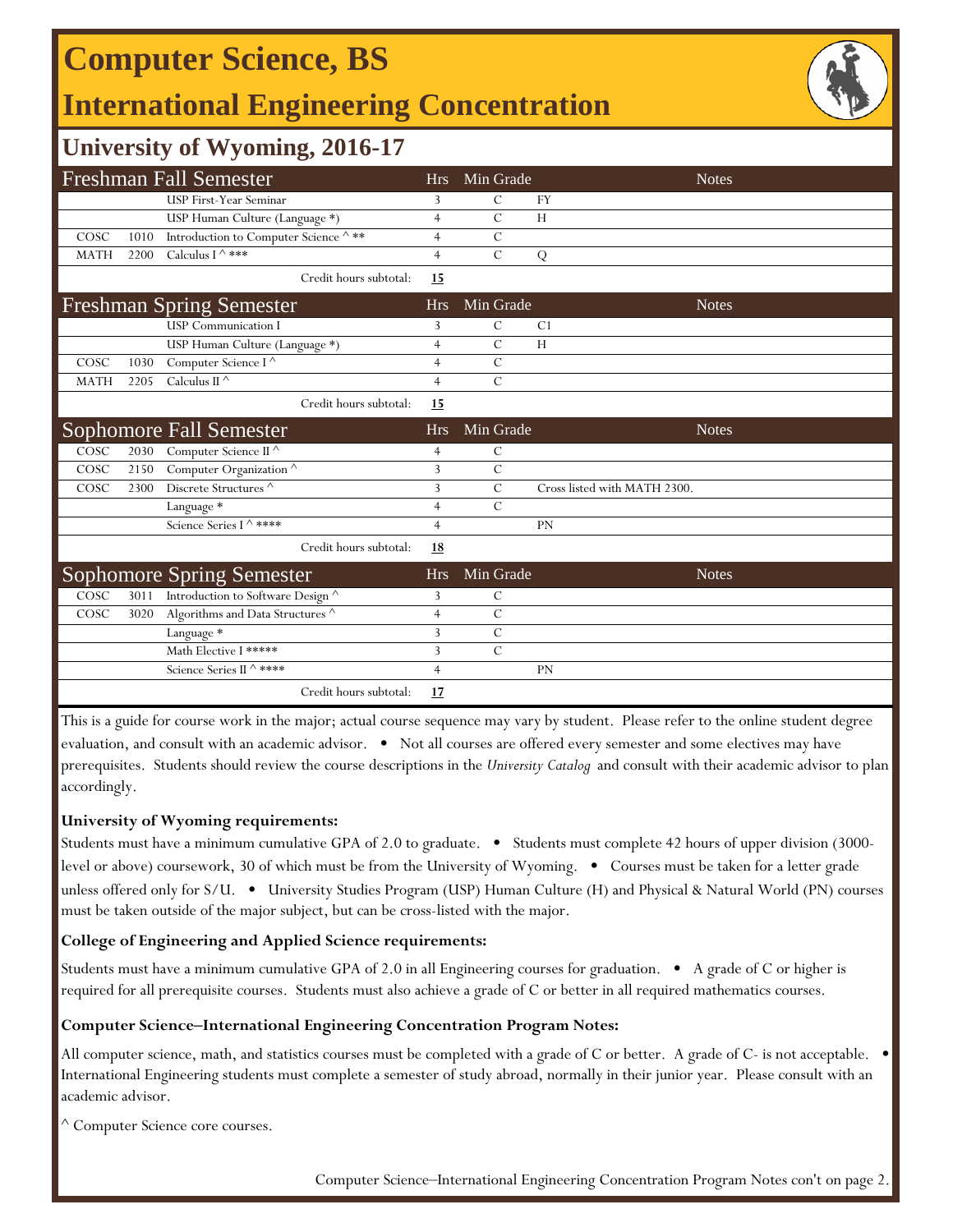## **Computer Science, BS**

## **International Engineering Concentration**



### **University of Wyoming, 2016-17**

|                                 |      | <b>Freshman Fall Semester</b>         |                | Hrs Min Grade  | <b>Notes</b>                 |
|---------------------------------|------|---------------------------------------|----------------|----------------|------------------------------|
|                                 |      | <b>USP First-Year Seminar</b>         | 3              | С              | <b>FY</b>                    |
|                                 |      | USP Human Culture (Language *)        | $\overline{4}$ | $\overline{C}$ | H                            |
| COSC                            | 1010 | Introduction to Computer Science ^ ** | $\overline{4}$ | $\mathcal{C}$  |                              |
| <b>MATH</b>                     | 2200 | Calculus I ^ ***                      | $\overline{4}$ | $\overline{C}$ | Q                            |
|                                 |      | Credit hours subtotal:                | 15             |                |                              |
| <b>Freshman Spring Semester</b> |      |                                       | <b>Hrs</b>     | Min Grade      | <b>Notes</b>                 |
|                                 |      | <b>USP</b> Communication I            | 3              | $\mathcal{C}$  | C <sub>1</sub>               |
|                                 |      | USP Human Culture (Language *)        | $\overline{4}$ | $\mathcal{C}$  | H                            |
| COSC                            | 1030 | Computer Science I $^\wedge$          | $\overline{4}$ | $\mathcal{C}$  |                              |
| <b>MATH</b>                     | 2205 | Calculus II $\wedge$                  | $\overline{4}$ | $\mathcal{C}$  |                              |
|                                 |      | Credit hours subtotal:                | 15             |                |                              |
|                                 |      | <b>Sophomore Fall Semester</b>        | <b>Hrs</b>     | Min Grade      | <b>Notes</b>                 |
| COSC                            | 2030 | Computer Science II $^\wedge$         | $\overline{4}$ | $\mathcal{C}$  |                              |
| COSC                            | 2150 | Computer Organization <sup>^</sup>    | 3              | $\mathcal{C}$  |                              |
| COSC                            | 2300 | Discrete Structures ^                 | 3              | $\overline{C}$ | Cross listed with MATH 2300. |
|                                 |      | Language *                            | 4              | $\mathcal{C}$  |                              |
|                                 |      | Science Series I $\wedge$ ****        | $\overline{4}$ |                | <b>PN</b>                    |
|                                 |      | Credit hours subtotal:                | <u>18</u>      |                |                              |
|                                 |      | <b>Sophomore Spring Semester</b>      | Hrs.           | Min Grade      | <b>Notes</b>                 |
| COSC                            | 3011 | Introduction to Software Design ^     | 3              | $\mathcal{C}$  |                              |
| COSC                            | 3020 | Algorithms and Data Structures ^      | $\overline{4}$ | $\mathcal{C}$  |                              |
|                                 |      | Language *                            | 3              | $\overline{C}$ |                              |
|                                 |      | Math Elective I *****                 | 3              | $\mathcal{C}$  |                              |
|                                 |      | Science Series II ^ ****              | $\overline{4}$ |                | <b>PN</b>                    |
|                                 |      | Credit hours subtotal:                | 17             |                |                              |

This is a guide for course work in the major; actual course sequence may vary by student. Please refer to the online student degree evaluation, and consult with an academic advisor. • Not all courses are offered every semester and some electives may have prerequisites. Students should review the course descriptions in the *University Catalog* and consult with their academic advisor to plan accordingly.

### **University of Wyoming requirements:**

Students must have a minimum cumulative GPA of 2.0 to graduate. • Students must complete 42 hours of upper division (3000 level or above) coursework, 30 of which must be from the University of Wyoming. • Courses must be taken for a letter grade unless offered only for S/U. • University Studies Program (USP) Human Culture (H) and Physical & Natural World (PN) courses must be taken outside of the major subject, but can be cross-listed with the major.

### **College of Engineering and Applied Science requirements:**

Students must have a minimum cumulative GPA of 2.0 in all Engineering courses for graduation. • A grade of C or higher is required for all prerequisite courses. Students must also achieve a grade of C or better in all required mathematics courses.

#### **Computer Science‒International Engineering Concentration Program Notes:**

All computer science, math, and statistics courses must be completed with a grade of C or better. A grade of C- is not acceptable. • International Engineering students must complete a semester of study abroad, normally in their junior year. Please consult with an academic advisor.

^ Computer Science core courses.

Computer Science–International Engineering Concentration Program Notes con't on page 2.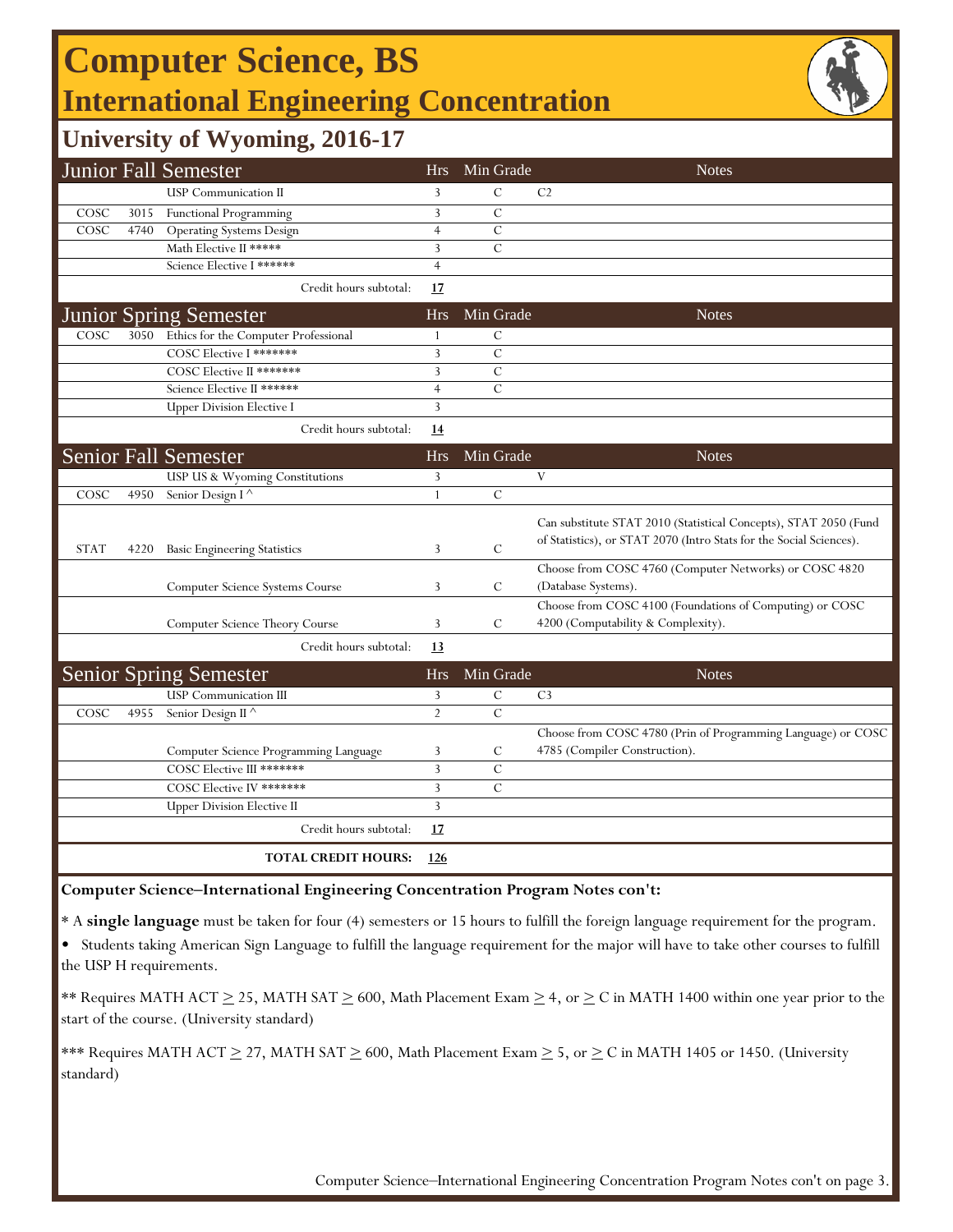# **Computer Science, BS International Engineering Concentration**



### **University of Wyoming, 2016-17**

|             |      | <b>Junior Fall Semester</b>                     | <b>Hrs</b>     | Min Grade     | <b>Notes</b>                                                                                                                            |
|-------------|------|-------------------------------------------------|----------------|---------------|-----------------------------------------------------------------------------------------------------------------------------------------|
|             |      | <b>USP</b> Communication II                     | 3              | $\mathcal{C}$ | C <sub>2</sub>                                                                                                                          |
| COSC        | 3015 | Functional Programming                          | 3              | $\mathcal{C}$ |                                                                                                                                         |
| COSC        | 4740 | <b>Operating Systems Design</b>                 | $\overline{4}$ | $\mathcal{C}$ |                                                                                                                                         |
|             |      | Math Elective II *****                          | 3              | $\mathcal{C}$ |                                                                                                                                         |
|             |      | Science Elective I ******                       | $\overline{4}$ |               |                                                                                                                                         |
|             |      | Credit hours subtotal:                          | 17             |               |                                                                                                                                         |
|             |      | Junior Spring Semester                          | <b>Hrs</b>     | Min Grade     | <b>Notes</b>                                                                                                                            |
| COSC        |      | 3050 Ethics for the Computer Professional       | 1              | $\mathsf{C}$  |                                                                                                                                         |
|             |      | COSC Elective I *******                         | 3              | $\mathcal{C}$ |                                                                                                                                         |
|             |      | COSC Elective II *******                        | 3              | $\mathcal{C}$ |                                                                                                                                         |
|             |      | Science Elective II ******                      | $\overline{4}$ | $\mathcal{C}$ |                                                                                                                                         |
|             |      | <b>Upper Division Elective I</b>                | 3              |               |                                                                                                                                         |
|             |      | Credit hours subtotal:                          | 14             |               |                                                                                                                                         |
|             |      | <b>Senior Fall Semester</b>                     | <b>Hrs</b>     | Min Grade     | <b>Notes</b>                                                                                                                            |
|             |      | USP US & Wyoming Constitutions                  | 3              |               | V                                                                                                                                       |
| COSC        | 4950 | Senior Design I <sup>^</sup>                    | $\mathbf{1}$   | $\mathcal{C}$ |                                                                                                                                         |
| <b>STAT</b> | 4220 | <b>Basic Engineering Statistics</b>             | 3              | $\mathsf{C}$  | Can substitute STAT 2010 (Statistical Concepts), STAT 2050 (Fund<br>of Statistics), or STAT 2070 (Intro Stats for the Social Sciences). |
|             |      |                                                 |                |               | Choose from COSC 4760 (Computer Networks) or COSC 4820                                                                                  |
|             |      | Computer Science Systems Course                 | 3              | C             | (Database Systems).                                                                                                                     |
|             |      | Computer Science Theory Course                  | 3              | C             | Choose from COSC 4100 (Foundations of Computing) or COSC<br>4200 (Computability & Complexity).                                          |
|             |      | Credit hours subtotal:                          | 13             |               |                                                                                                                                         |
|             |      | <b>Senior Spring Semester</b>                   | <b>Hrs</b>     | Min Grade     | <b>Notes</b>                                                                                                                            |
|             |      | <b>USP</b> Communication III                    | 3              | $\mathcal{C}$ | C <sub>3</sub>                                                                                                                          |
| COSC        | 4955 | Senior Design II <sup><math>\wedge</math></sup> | $\overline{2}$ | $\mathbf C$   |                                                                                                                                         |
|             |      |                                                 |                |               | Choose from COSC 4780 (Prin of Programming Language) or COSC                                                                            |
|             |      | Computer Science Programming Language           | 3              | C             | 4785 (Compiler Construction).                                                                                                           |
|             |      | COSC Elective III *******                       | $\mathbf{3}$   | $\mathbf C$   |                                                                                                                                         |
|             |      | COSC Elective IV *******                        | 3              | $\mathcal{C}$ |                                                                                                                                         |
|             |      | <b>Upper Division Elective II</b>               | 3              |               |                                                                                                                                         |
|             |      | Credit hours subtotal:                          | <u>17</u>      |               |                                                                                                                                         |
|             |      | TOTAL CREDIT HOURS:                             | <u>126</u>     |               |                                                                                                                                         |

#### **Computer Science‒International Engineering Concentration Program Notes con't:**

\* A **single language** must be taken for four (4) semesters or 15 hours to fulfill the foreign language requirement for the program.

• Students taking American Sign Language to fulfill the language requirement for the major will have to take other courses to fulfill the USP H requirements.

\*\* Requires MATH ACT  $\geq$  25, MATH SAT  $\geq$  600, Math Placement Exam  $\geq$  4, or  $\geq$  C in MATH 1400 within one year prior to the start of the course. (University standard)

\*\*\* Requires MATH ACT  $\geq$  27, MATH SAT  $\geq$  600, Math Placement Exam  $\geq$  5, or  $\geq$  C in MATH 1405 or 1450. (University standard)

Computer Science-International Engineering Concentration Program Notes con't on page 3.